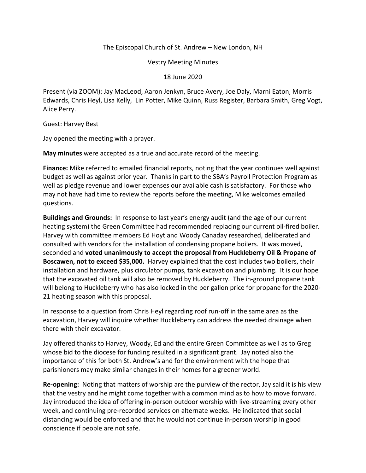## The Episcopal Church of St. Andrew – New London, NH

Vestry Meeting Minutes

## 18 June 2020

Present (via ZOOM): Jay MacLeod, Aaron Jenkyn, Bruce Avery, Joe Daly, Marni Eaton, Morris Edwards, Chris Heyl, Lisa Kelly, Lin Potter, Mike Quinn, Russ Register, Barbara Smith, Greg Vogt, Alice Perry.

Guest: Harvey Best

Jay opened the meeting with a prayer.

**May minutes** were accepted as a true and accurate record of the meeting.

**Finance:** Mike referred to emailed financial reports, noting that the year continues well against budget as well as against prior year. Thanks in part to the SBA's Payroll Protection Program as well as pledge revenue and lower expenses our available cash is satisfactory. For those who may not have had time to review the reports before the meeting, Mike welcomes emailed questions.

**Buildings and Grounds:** In response to last year's energy audit (and the age of our current heating system) the Green Committee had recommended replacing our current oil-fired boiler. Harvey with committee members Ed Hoyt and Woody Canaday researched, deliberated and consulted with vendors for the installation of condensing propane boilers. It was moved, seconded and **voted unanimously to accept the proposal from Huckleberry Oil & Propane of Boscawen, not to exceed \$35,000.** Harvey explained that the cost includes two boilers, their installation and hardware, plus circulator pumps, tank excavation and plumbing. It is our hope that the excavated oil tank will also be removed by Huckleberry. The in-ground propane tank will belong to Huckleberry who has also locked in the per gallon price for propane for the 2020- 21 heating season with this proposal.

In response to a question from Chris Heyl regarding roof run-off in the same area as the excavation, Harvey will inquire whether Huckleberry can address the needed drainage when there with their excavator.

Jay offered thanks to Harvey, Woody, Ed and the entire Green Committee as well as to Greg whose bid to the diocese for funding resulted in a significant grant. Jay noted also the importance of this for both St. Andrew's and for the environment with the hope that parishioners may make similar changes in their homes for a greener world.

**Re-opening:** Noting that matters of worship are the purview of the rector, Jay said it is his view that the vestry and he might come together with a common mind as to how to move forward. Jay introduced the idea of offering in-person outdoor worship with live-streaming every other week, and continuing pre-recorded services on alternate weeks. He indicated that social distancing would be enforced and that he would not continue in-person worship in good conscience if people are not safe.